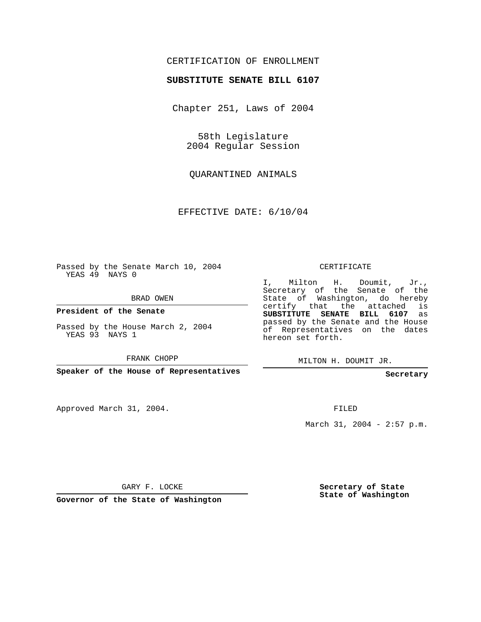## CERTIFICATION OF ENROLLMENT

## **SUBSTITUTE SENATE BILL 6107**

Chapter 251, Laws of 2004

58th Legislature 2004 Regular Session

QUARANTINED ANIMALS

EFFECTIVE DATE: 6/10/04

Passed by the Senate March 10, 2004 YEAS 49 NAYS 0

BRAD OWEN

**President of the Senate**

Passed by the House March 2, 2004 YEAS 93 NAYS 1

FRANK CHOPP

**Speaker of the House of Representatives**

Approved March 31, 2004.

CERTIFICATE

I, Milton H. Doumit, Jr., Secretary of the Senate of the State of Washington, do hereby certify that the attached is **SUBSTITUTE SENATE BILL 6107** as passed by the Senate and the House of Representatives on the dates hereon set forth.

MILTON H. DOUMIT JR.

**Secretary**

FILED

March 31, 2004 - 2:57 p.m.

GARY F. LOCKE

**Governor of the State of Washington**

**Secretary of State State of Washington**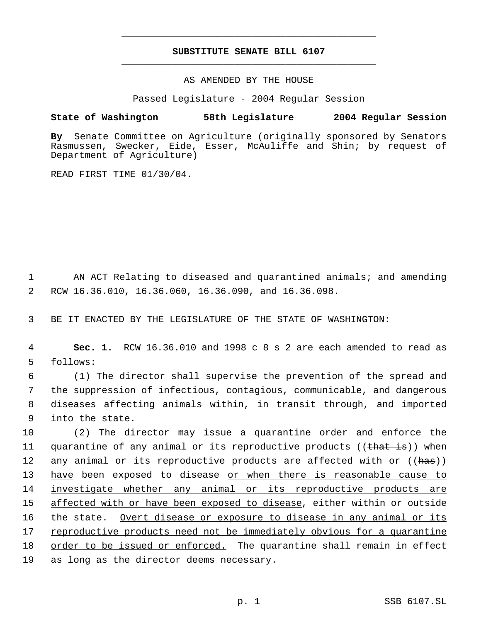## **SUBSTITUTE SENATE BILL 6107** \_\_\_\_\_\_\_\_\_\_\_\_\_\_\_\_\_\_\_\_\_\_\_\_\_\_\_\_\_\_\_\_\_\_\_\_\_\_\_\_\_\_\_\_\_

\_\_\_\_\_\_\_\_\_\_\_\_\_\_\_\_\_\_\_\_\_\_\_\_\_\_\_\_\_\_\_\_\_\_\_\_\_\_\_\_\_\_\_\_\_

AS AMENDED BY THE HOUSE

Passed Legislature - 2004 Regular Session

## **State of Washington 58th Legislature 2004 Regular Session**

**By** Senate Committee on Agriculture (originally sponsored by Senators Rasmussen, Swecker, Eide, Esser, McAuliffe and Shin; by request of Department of Agriculture)

READ FIRST TIME 01/30/04.

 1 AN ACT Relating to diseased and quarantined animals; and amending 2 RCW 16.36.010, 16.36.060, 16.36.090, and 16.36.098.

3 BE IT ENACTED BY THE LEGISLATURE OF THE STATE OF WASHINGTON:

 4 **Sec. 1.** RCW 16.36.010 and 1998 c 8 s 2 are each amended to read as 5 follows:

 (1) The director shall supervise the prevention of the spread and the suppression of infectious, contagious, communicable, and dangerous diseases affecting animals within, in transit through, and imported into the state.

10 (2) The director may issue a quarantine order and enforce the 11 quarantine of any animal or its reproductive products ((that is)) when 12 any animal or its reproductive products are affected with or ((has)) 13 have been exposed to disease or when there is reasonable cause to 14 investigate whether any animal or its reproductive products are 15 affected with or have been exposed to disease, either within or outside 16 the state. Overt disease or exposure to disease in any animal or its 17 reproductive products need not be immediately obvious for a quarantine 18 order to be issued or enforced. The quarantine shall remain in effect 19 as long as the director deems necessary.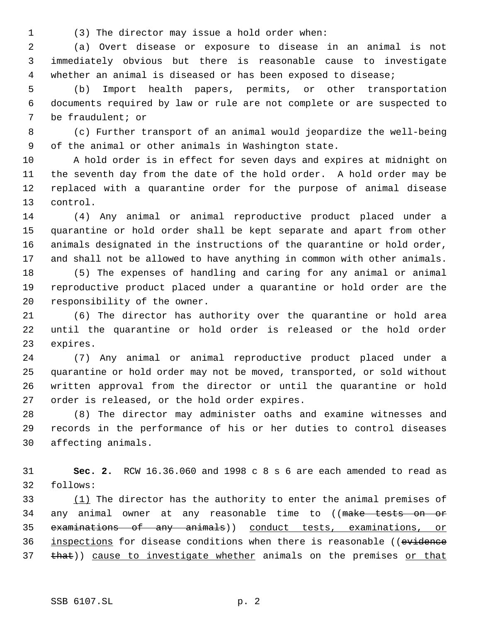(3) The director may issue a hold order when:

 (a) Overt disease or exposure to disease in an animal is not immediately obvious but there is reasonable cause to investigate whether an animal is diseased or has been exposed to disease;

 (b) Import health papers, permits, or other transportation documents required by law or rule are not complete or are suspected to be fraudulent; or

 (c) Further transport of an animal would jeopardize the well-being of the animal or other animals in Washington state.

 A hold order is in effect for seven days and expires at midnight on the seventh day from the date of the hold order. A hold order may be replaced with a quarantine order for the purpose of animal disease control.

 (4) Any animal or animal reproductive product placed under a quarantine or hold order shall be kept separate and apart from other animals designated in the instructions of the quarantine or hold order, and shall not be allowed to have anything in common with other animals.

 (5) The expenses of handling and caring for any animal or animal reproductive product placed under a quarantine or hold order are the responsibility of the owner.

 (6) The director has authority over the quarantine or hold area until the quarantine or hold order is released or the hold order expires.

 (7) Any animal or animal reproductive product placed under a quarantine or hold order may not be moved, transported, or sold without written approval from the director or until the quarantine or hold order is released, or the hold order expires.

 (8) The director may administer oaths and examine witnesses and records in the performance of his or her duties to control diseases affecting animals.

 **Sec. 2.** RCW 16.36.060 and 1998 c 8 s 6 are each amended to read as follows:

33  $(1)$  The director has the authority to enter the animal premises of 34 any animal owner at any reasonable time to ((make tests on or examinations of any animals)) conduct tests, examinations, or 36 inspections for disease conditions when there is reasonable ((evidence 37 that)) cause to investigate whether animals on the premises or that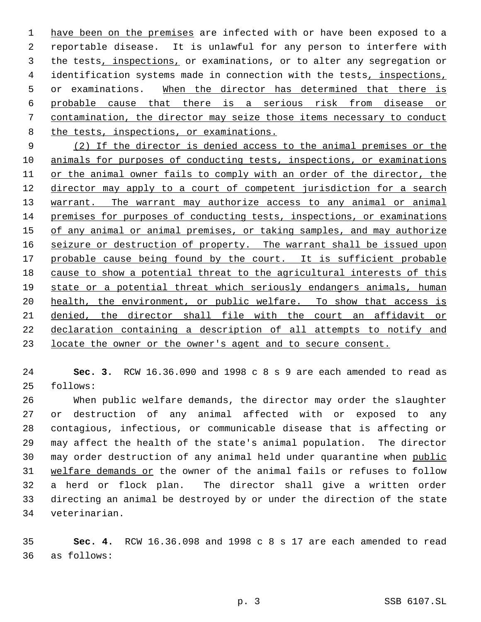1 have been on the premises are infected with or have been exposed to a reportable disease. It is unlawful for any person to interfere with the tests, inspections, or examinations, or to alter any segregation or 4 identification systems made in connection with the tests, inspections, 5 or examinations. When the director has determined that there is probable cause that there is a serious risk from disease or contamination, the director may seize those items necessary to conduct the tests, inspections, or examinations.

 (2) If the director is denied access to the animal premises or the 10 animals for purposes of conducting tests, inspections, or examinations or the animal owner fails to comply with an order of the director, the 12 director may apply to a court of competent jurisdiction for a search 13 warrant. The warrant may authorize access to any animal or animal premises for purposes of conducting tests, inspections, or examinations 15 of any animal or animal premises, or taking samples, and may authorize 16 seizure or destruction of property. The warrant shall be issued upon 17 probable cause being found by the court. It is sufficient probable cause to show a potential threat to the agricultural interests of this state or a potential threat which seriously endangers animals, human 20 health, the environment, or public welfare. To show that access is denied, the director shall file with the court an affidavit or declaration containing a description of all attempts to notify and locate the owner or the owner's agent and to secure consent.

 **Sec. 3.** RCW 16.36.090 and 1998 c 8 s 9 are each amended to read as follows:

 When public welfare demands, the director may order the slaughter or destruction of any animal affected with or exposed to any contagious, infectious, or communicable disease that is affecting or may affect the health of the state's animal population. The director may order destruction of any animal held under quarantine when public welfare demands or the owner of the animal fails or refuses to follow a herd or flock plan. The director shall give a written order directing an animal be destroyed by or under the direction of the state veterinarian.

 **Sec. 4.** RCW 16.36.098 and 1998 c 8 s 17 are each amended to read as follows: